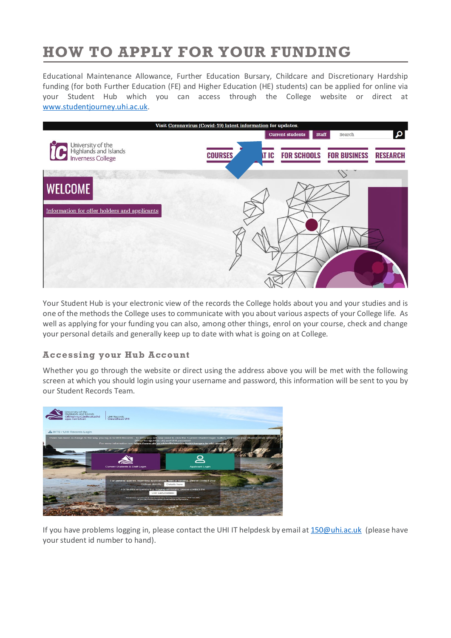# **HOW TO APPLY FOR YOUR FUNDING**

Educational Maintenance Allowance, Further Education Bursary, Childcare and Discretionary Hardship funding (for both Further Education (FE) and Higher Education (HE) students) can be applied for online via your Student Hub which you can access through the College website or direct at [www.studentjourney.uhi.ac.uk.](http://www.studentjourney.uhi.ac.uk/)



Your Student Hub is your electronic view of the records the College holds about you and your studies and is one of the methods the College uses to communicate with you about various aspects of your College life. As well as applying for your funding you can also, among other things, enrol on your course, check and change your personal details and generally keep up to date with what is going on at College.

## **Accessing your Hub Account**

Whether you go through the website or direct using the address above you will be met with the following screen at which you should login using your username and password, this information will be sent to you by our Student Records Team.



If you have problems logging in, please contact the UHI IT helpdesk by email a[t 150@uhi.ac.uk](mailto:150@uhi.ac.uk) (please have your student id number to hand).